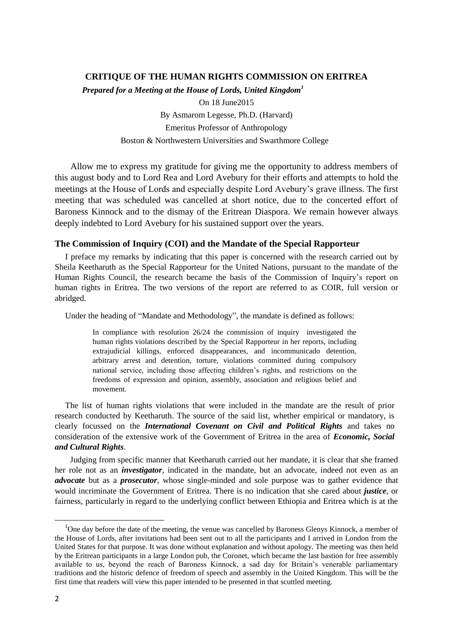# **CRITIQUE OF THE HUMAN RIGHTS COMMISSION ON ERITREA** *Prepared for a Meeting at the House of Lords, United Kingdom<sup>1</sup>* On 18 June2015 By Asmarom Legesse, Ph.D. (Harvard) Emeritus Professor of Anthropology Boston & Northwestern Universities and Swarthmore College

Allow me to express my gratitude for giving me the opportunity to address members of this august body and to Lord Rea and Lord Avebury for their efforts and attempts to hold the meetings at the House of Lords and especially despite Lord Avebury's grave illness. The first meeting that was scheduled was cancelled at short notice, due to the concerted effort of Baroness Kinnock and to the dismay of the Eritrean Diaspora. We remain however always deeply indebted to Lord Avebury for his sustained support over the years.

### **The Commission of Inquiry (COI) and the Mandate of the Special Rapporteur**

I preface my remarks by indicating that this paper is concerned with the research carried out by Sheila Keetharuth as the Special Rapporteur for the United Nations, pursuant to the mandate of the Human Rights Council, the research became the basis of the Commission of Inquiry's report on human rights in Eritrea. The two versions of the report are referred to as COIR, full version or abridged.

Under the heading of "Mandate and Methodology", the mandate is defined as follows:

In compliance with resolution 26/24 the commission of inquiry investigated the human rights violations described by the Special Rapporteur in her reports, including extrajudicial killings, enforced disappearances, and incommunicado detention, arbitrary arrest and detention, torture, violations committed during compulsory national service, including those affecting children's rights, and restrictions on the freedoms of expression and opinion, assembly, association and religious belief and movement.

The list of human rights violations that were included in the mandate are the result of prior research conducted by Keetharuth. The source of the said list, whether empirical or mandatory, is clearly focussed on the *International Covenant on Civil and Political Rights* and takes no consideration of the extensive work of the Government of Eritrea in the area of *Economic, Social and Cultural Rights*.

Judging from specific manner that Keetharuth carried out her mandate, it is clear that she framed her role not as an *investigator*, indicated in the mandate, but an advocate, indeed not even as an *advocate* but as a *prosecutor*, whose single-minded and sole purpose was to gather evidence that would incriminate the Government of Eritrea. There is no indication that she cared about *justice*, or fairness, particularly in regard to the underlying conflict between Ethiopia and Eritrea which is at the

 $1$ One day before the date of the meeting, the venue was cancelled by Baroness Glenys Kinnock, a member of the House of Lords, after invitations had been sent out to all the participants and I arrived in London from the United States for that purpose. It was done without explanation and without apology. The meeting was then held by the Eritrean participants in a large London pub, the Coronet, which became the last bastion for free assembly available to us, beyond the reach of Baroness Kinnock, a sad day for Britain's venerable parliamentary traditions and the historic defence of freedom of speech and assembly in the United Kingdom. This will be the first time that readers will view this paper intended to be presented in that scuttled meeting.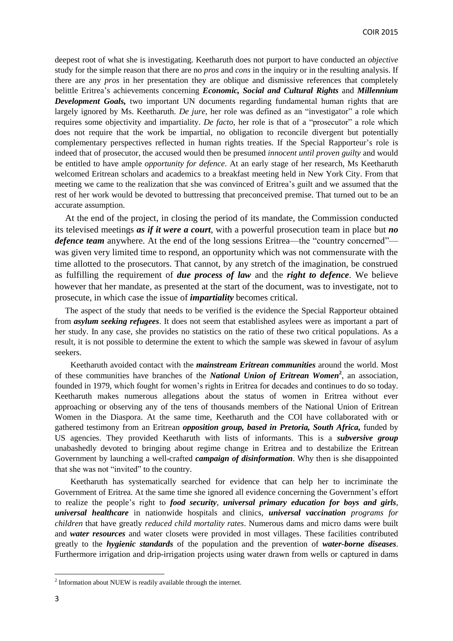deepest root of what she is investigating. Keetharuth does not purport to have conducted an *objective* study for the simple reason that there are no *pros* and *cons* in the inquiry or in the resulting analysis. If there are any *pros* in her presentation they are oblique and dismissive references that completely belittle Eritrea's achievements concerning *Economic, Social and Cultural Rights* and *Millennium Development Goals,* two important UN documents regarding fundamental human rights that are largely ignored by Ms. Keetharuth. *De jure*, her role was defined as an "investigator" a role which requires some objectivity and impartiality. *De facto*, her role is that of a "prosecutor" a role which does not require that the work be impartial, no obligation to reconcile divergent but potentially complementary perspectives reflected in human rights treaties. If the Special Rapporteur's role is indeed that of prosecutor, the accused would then be presumed *innocent until proven guilty* and would be entitled to have ample *opportunity for defence*. At an early stage of her research, Ms Keetharuth welcomed Eritrean scholars and academics to a breakfast meeting held in New York City. From that meeting we came to the realization that she was convinced of Eritrea's guilt and we assumed that the rest of her work would be devoted to buttressing that preconceived premise. That turned out to be an accurate assumption.

At the end of the project, in closing the period of its mandate, the Commission conducted its televised meetings *as if it were a court*, with a powerful prosecution team in place but *no defence team* anywhere. At the end of the long sessions Eritrea—the "country concerned" was given very limited time to respond, an opportunity which was not commensurate with the time allotted to the prosecutors. That cannot, by any stretch of the imagination, be construed as fulfilling the requirement of *due process of law* and the *right to defence*. We believe however that her mandate, as presented at the start of the document, was to investigate, not to prosecute, in which case the issue of *impartiality* becomes critical.

The aspect of the study that needs to be verified is the evidence the Special Rapporteur obtained from *asylum seeking refugees*. It does not seem that established asylees were as important a part of her study. In any case, she provides no statistics on the ratio of these two critical populations. As a result, it is not possible to determine the extent to which the sample was skewed in favour of asylum seekers.

Keetharuth avoided contact with the *mainstream Eritrean communities* around the world. Most of these communities have branches of the *National Union of Eritrean Women***<sup>2</sup>** , an association, founded in 1979, which fought for women's rights in Eritrea for decades and continues to do so today. Keetharuth makes numerous allegations about the status of women in Eritrea without ever approaching or observing any of the tens of thousands members of the National Union of Eritrean Women in the Diaspora. At the same time, Keetharuth and the COI have collaborated with or gathered testimony from an Eritrean *opposition group, based in Pretoria, South Africa,* funded by US agencies. They provided Keetharuth with lists of informants. This is a *subversive group* unabashedly devoted to bringing about regime change in Eritrea and to destabilize the Eritrean Government by launching a well-crafted *campaign of disinformation*. Why then is she disappointed that she was not "invited" to the country.

Keetharuth has systematically searched for evidence that can help her to incriminate the Government of Eritrea. At the same time she ignored all evidence concerning the Government's effort to realize the people's right to *food security*, *universal primary education for boys and girls*, *universal healthcare* in nationwide hospitals and clinics, *universal vaccination programs for children* that have greatly *reduced child mortality rates*. Numerous dams and micro dams were built and *water resources* and water closets were provided in most villages. These facilities contributed greatly to the *hygienic standards* of the population and the prevention of *water-borne diseases*. Furthermore irrigation and drip-irrigation projects using water drawn from wells or captured in dams

 $2$  Information about NUEW is readily available through the internet.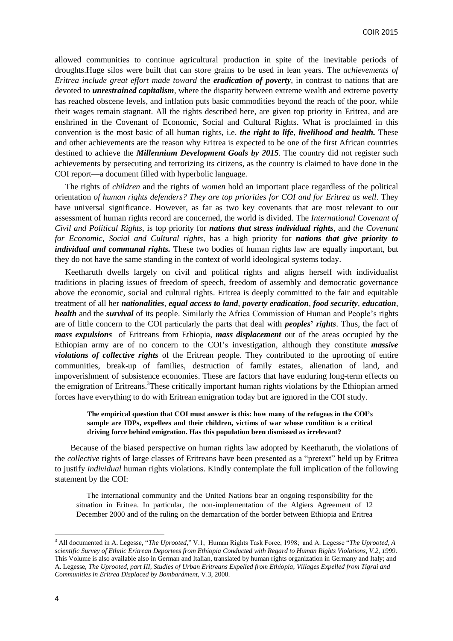allowed communities to continue agricultural production in spite of the inevitable periods of droughts.Huge silos were built that can store grains to be used in lean years. The *achievements of Eritrea include great effort made toward* the *eradication of poverty*, in contrast to nations that are devoted to *unrestrained capitalism*, where the disparity between extreme wealth and extreme poverty has reached obscene levels, and inflation puts basic commodities beyond the reach of the poor, while their wages remain stagnant. All the rights described here, are given top priority in Eritrea, and are enshrined in the Covenant of Economic, Social and Cultural Rights. What is proclaimed in this convention is the most basic of all human rights, i.e. *the right to life*, *livelihood and health.* These and other achievements are the reason why Eritrea is expected to be one of the first African countries destined to achieve the *Millennium Development Goals by 2015*. The country did not register such achievements by persecuting and terrorizing its citizens, as the country is claimed to have done in the COI report—a document filled with hyperbolic language.

The rights of *children* and the rights of *women* hold an important place regardless of the political orientation *of human rights defenders? They are top priorities for COI and for Eritrea as well*. They have universal significance. However, as far as two key covenants that are most relevant to our assessment of human rights record are concerned, the world is divided. The *International Covenant of Civil and Political Rights*, is top priority for *nations that stress individual rights*, and *the Covenant for Economic, Social and Cultural rights*, has a high priority for *nations that give priority to individual and communal rights.* These two bodies of human rights law are equally important, but they do not have the same standing in the context of world ideological systems today.

Keetharuth dwells largely on civil and political rights and aligns herself with individualist traditions in placing issues of freedom of speech, freedom of assembly and democratic governance above the economic, social and cultural rights. Eritrea is deeply committed to the fair and equitable treatment of all her *nationalities, equal access to land*, *poverty eradication*, *food security*, *education*, *health* and the *survival* of its people. Similarly the Africa Commission of Human and People's rights are of little concern to the COI particularly the parts that deal with *peoples***'** *rights*. Thus, the fact of *mass expulsions* of Eritreans from Ethiopia, *mass displacement* out of the areas occupied by the Ethiopian army are of no concern to the COI's investigation, although they constitute *massive violations of collective rights* of the Eritrean people. They contributed to the uprooting of entire communities, break-up of families, destruction of family estates, alienation of land, and impoverishment of subsistence economies. These are factors that have enduring long-term effects on the emigration of Eritreans. <sup>3</sup>These critically important human rights violations by the Ethiopian armed forces have everything to do with Eritrean emigration today but are ignored in the COI study.

### **The empirical question that COI must answer is this: how many of the refugees in the COI's sample are IDPs, expellees and their children, victims of war whose condition is a critical driving force behind emigration. Has this population been dismissed as irrelevant?**

Because of the biased perspective on human rights law adopted by Keetharuth, the violations of the *collective* rights of large classes of Eritreans have been presented as a "pretext" held up by Eritrea to justify *individual* human rights violations. Kindly contemplate the full implication of the following statement by the COI:

The international community and the United Nations bear an ongoing responsibility for the situation in Eritrea. In particular, the non-implementation of the Algiers Agreement of 12 December 2000 and of the ruling on the demarcation of the border between Ethiopia and Eritrea

 $\overline{a}$ 

<sup>&</sup>lt;sup>3</sup> All documented in A. Legesse, "*The Uprooted*," V.1, Human Rights Task Force, 1998; and A. Legesse "*The Uprooted*, A *scientific Survey of Ethnic Eritrean Deportees from Ethiopia Conducted with Regard to Human Rights Violations, V.2, 1999*. This Volume is also available also in German and Italian, translated by human rights organization in Germany and Italy; and A. Legesse, *The Uprooted, part III, Studies of Urban Eritreans Expelled from Ethiopia, Villages Expelled from Tigrai and Communities in Eritrea Displaced by Bombardment,* V.3, 2000.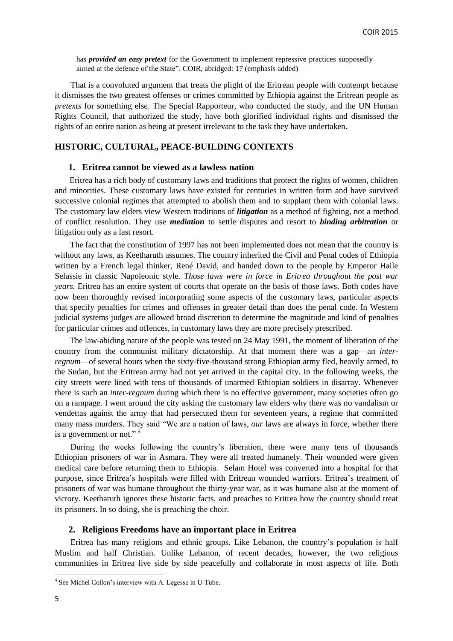has *provided an easy pretext* for the Government to implement repressive practices supposedly aimed at the defence of the State". COIR, abridged: 17 (emphasis added)

That is a convoluted argument that treats the plight of the Eritrean people with contempt because it dismisses the two greatest offenses or crimes committed by Ethiopia against the Eritrean people as *pretexts* for something else. The Special Rapporteur, who conducted the study, and the UN Human Rights Council, that authorized the study, have both glorified individual rights and dismissed the rights of an entire nation as being at present irrelevant to the task they have undertaken.

# **HISTORIC, CULTURAL, PEACE-BUILDING CONTEXTS**

### **1. Eritrea cannot be viewed as a lawless nation**

Eritrea has a rich body of customary laws and traditions that protect the rights of women, children and minorities. These customary laws have existed for centuries in written form and have survived successive colonial regimes that attempted to abolish them and to supplant them with colonial laws. The customary law elders view Western traditions of *litigation* as a method of fighting, not a method of conflict resolution. They use *mediation* to settle disputes and resort to *binding arbitration* or litigation only as a last resort.

The fact that the constitution of 1997 has not been implemented does not mean that the country is without any laws, as Keetharuth assumes. The country inherited the Civil and Penal codes of Ethiopia written by a French legal thinker, René David, and handed down to the people by Emperor Haile Selassie in classic Napoleonic style. *Those laws were in force in Eritrea throughout the post war years.* Eritrea has an entire system of courts that operate on the basis of those laws. Both codes have now been thoroughly revised incorporating some aspects of the customary laws, particular aspects that specify penalties for crimes and offenses in greater detail than does the penal code. In Western judicial systems judges are allowed broad discretion to determine the magnitude and kind of penalties for particular crimes and offences, in customary laws they are more precisely prescribed.

The law-abiding nature of the people was tested on 24 May 1991, the moment of liberation of the country from the communist military dictatorship. At that moment there was a gap—an *interregnum*—of several hours when the sixty-five-thousand strong Ethiopian army fled, heavily armed, to the Sudan, but the Eritrean army had not yet arrived in the capital city. In the following weeks, the city streets were lined with tens of thousands of unarmed Ethiopian soldiers in disarray. Whenever there is such an *inter-regnum* during which there is no effective government, many societies often go on a rampage. I went around the city asking the customary law elders why there was no vandalism or vendettas against the army that had persecuted them for seventeen years, a regime that committed many mass murders. They said "We are a nation of laws, *our* laws are always in force, whether there is a government or not."  $4$ 

During the weeks following the country's liberation, there were many tens of thousands Ethiopian prisoners of war in Asmara. They were all treated humanely. Their wounded were given medical care before returning them to Ethiopia. Selam Hotel was converted into a hospital for that purpose, since Eritrea's hospitals were filled with Eritrean wounded warriors. Eritrea's treatment of prisoners of war was humane throughout the thirty-year war, as it was humane also at the moment of victory. Keetharuth ignores these historic facts, and preaches to Eritrea how the country should treat its prisoners. In so doing, she is preaching the choir.

#### **2. Religious Freedoms have an important place in Eritrea**

Eritrea has many religions and ethnic groups. Like Lebanon, the country's population is half Muslim and half Christian. Unlike Lebanon, of recent decades, however, the two religious communities in Eritrea live side by side peacefully and collaborate in most aspects of life. Both

<sup>4</sup> See Michel Collon's interview with A. Legesse in U-Tube.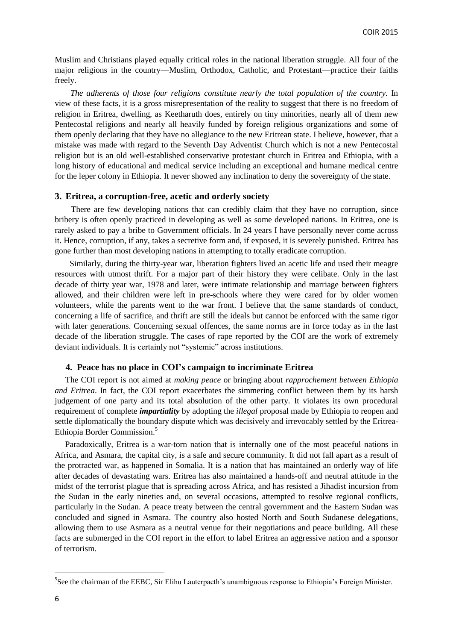Muslim and Christians played equally critical roles in the national liberation struggle. All four of the major religions in the country—Muslim, Orthodox, Catholic, and Protestant—practice their faiths freely.

*The adherents of those four religions constitute nearly the total population of the country.* In view of these facts, it is a gross misrepresentation of the reality to suggest that there is no freedom of religion in Eritrea, dwelling, as Keetharuth does, entirely on tiny minorities, nearly all of them new Pentecostal religions and nearly all heavily funded by foreign religious organizations and some of them openly declaring that they have no allegiance to the new Eritrean state. I believe, however, that a mistake was made with regard to the Seventh Day Adventist Church which is not a new Pentecostal religion but is an old well-established conservative protestant church in Eritrea and Ethiopia, with a long history of educational and medical service including an exceptional and humane medical centre for the leper colony in Ethiopia. It never showed any inclination to deny the sovereignty of the state.

### **3. Eritrea, a corruption-free, acetic and orderly society**

There are few developing nations that can credibly claim that they have no corruption, since bribery is often openly practiced in developing as well as some developed nations. In Eritrea, one is rarely asked to pay a bribe to Government officials. In 24 years I have personally never come across it. Hence, corruption, if any, takes a secretive form and, if exposed, it is severely punished. Eritrea has gone further than most developing nations in attempting to totally eradicate corruption.

Similarly, during the thirty-year war, liberation fighters lived an acetic life and used their meagre resources with utmost thrift. For a major part of their history they were celibate. Only in the last decade of thirty year war, 1978 and later, were intimate relationship and marriage between fighters allowed, and their children were left in pre-schools where they were cared for by older women volunteers, while the parents went to the war front. I believe that the same standards of conduct, concerning a life of sacrifice, and thrift are still the ideals but cannot be enforced with the same rigor with later generations. Concerning sexual offences, the same norms are in force today as in the last decade of the liberation struggle. The cases of rape reported by the COI are the work of extremely deviant individuals. It is certainly not "systemic" across institutions.

#### **4. Peace has no place in COI's campaign to incriminate Eritrea**

The COI report is not aimed at *making peace* or bringing about *rapprochement between Ethiopia and Eritrea*. In fact, the COI report exacerbates the simmering conflict between them by its harsh judgement of one party and its total absolution of the other party. It violates its own procedural requirement of complete *impartiality* by adopting the *illegal* proposal made by Ethiopia to reopen and settle diplomatically the boundary dispute which was decisively and irrevocably settled by the Eritrea-Ethiopia Border Commission. 5

Paradoxically, Eritrea is a war-torn nation that is internally one of the most peaceful nations in Africa, and Asmara, the capital city, is a safe and secure community. It did not fall apart as a result of the protracted war, as happened in Somalia. It is a nation that has maintained an orderly way of life after decades of devastating wars. Eritrea has also maintained a hands-off and neutral attitude in the midst of the terrorist plague that is spreading across Africa, and has resisted a Jihadist incursion from the Sudan in the early nineties and, on several occasions, attempted to resolve regional conflicts, particularly in the Sudan. A peace treaty between the central government and the Eastern Sudan was concluded and signed in Asmara. The country also hosted North and South Sudanese delegations, allowing them to use Asmara as a neutral venue for their negotiations and peace building. All these facts are submerged in the COI report in the effort to label Eritrea an aggressive nation and a sponsor of terrorism.

<sup>&</sup>lt;sup>5</sup>See the chairman of the EEBC, Sir Elihu Lauterpacth's unambiguous response to Ethiopia's Foreign Minister.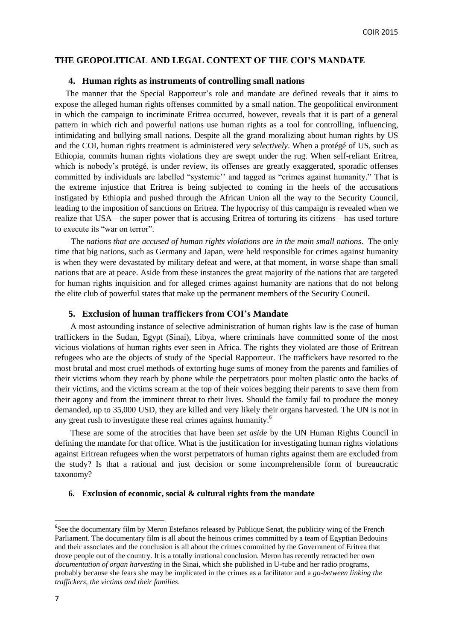## **THE GEOPOLITICAL AND LEGAL CONTEXT OF THE COI'S MANDATE**

### **4. Human rights as instruments of controlling small nations**

The manner that the Special Rapporteur's role and mandate are defined reveals that it aims to expose the alleged human rights offenses committed by a small nation. The geopolitical environment in which the campaign to incriminate Eritrea occurred, however, reveals that it is part of a general pattern in which rich and powerful nations use human rights as a tool for controlling, influencing, intimidating and bullying small nations. Despite all the grand moralizing about human rights by US and the COI, human rights treatment is administered *very selectively*. When a protégé of US, such as Ethiopia, commits human rights violations they are swept under the rug. When self-reliant Eritrea, which is nobody's protégé, is under review, its offenses are greatly exaggerated, sporadic offenses committed by individuals are labelled "systemic" and tagged as "crimes against humanity." That is the extreme injustice that Eritrea is being subjected to coming in the heels of the accusations instigated by Ethiopia and pushed through the African Union all the way to the Security Council, leading to the imposition of sanctions on Eritrea. The hypocrisy of this campaign is revealed when we realize that USA—the super power that is accusing Eritrea of torturing its citizens—has used torture to execute its "war on terror".

The *nations that are accused of human rights violations are in the main small nations*. The only time that big nations, such as Germany and Japan, were held responsible for crimes against humanity is when they were devastated by military defeat and were, at that moment, in worse shape than small nations that are at peace. Aside from these instances the great majority of the nations that are targeted for human rights inquisition and for alleged crimes against humanity are nations that do not belong the elite club of powerful states that make up the permanent members of the Security Council.

### **5. Exclusion of human traffickers from COI's Mandate**

A most astounding instance of selective administration of human rights law is the case of human traffickers in the Sudan, Egypt (Sinai), Libya, where criminals have committed some of the most vicious violations of human rights ever seen in Africa. The rights they violated are those of Eritrean refugees who are the objects of study of the Special Rapporteur. The traffickers have resorted to the most brutal and most cruel methods of extorting huge sums of money from the parents and families of their victims whom they reach by phone while the perpetrators pour molten plastic onto the backs of their victims, and the victims scream at the top of their voices begging their parents to save them from their agony and from the imminent threat to their lives. Should the family fail to produce the money demanded, up to 35,000 USD, they are killed and very likely their organs harvested. The UN is not in any great rush to investigate these real crimes against humanity.<sup>6</sup>

These are some of the atrocities that have been *set aside* by the UN Human Rights Council in defining the mandate for that office. What is the justification for investigating human rights violations against Eritrean refugees when the worst perpetrators of human rights against them are excluded from the study? Is that a rational and just decision or some incomprehensible form of bureaucratic taxonomy?

### **6. Exclusion of economic, social & cultural rights from the mandate**

<sup>&</sup>lt;sup>6</sup>See the documentary film by Meron Estefanos released by Publique Senat, the publicity wing of the French Parliament. The documentary film is all about the heinous crimes committed by a team of Egyptian Bedouins and their associates and the conclusion is all about the crimes committed by the Government of Eritrea that drove people out of the country. It is a totally irrational conclusion. Meron has recently retracted her own *documentation of organ harvesting* in the Sinai, which she published in U-tube and her radio programs, probably because she fears she may be implicated in the crimes as a facilitator and a *go-between linking the traffickers, the victims and their families*.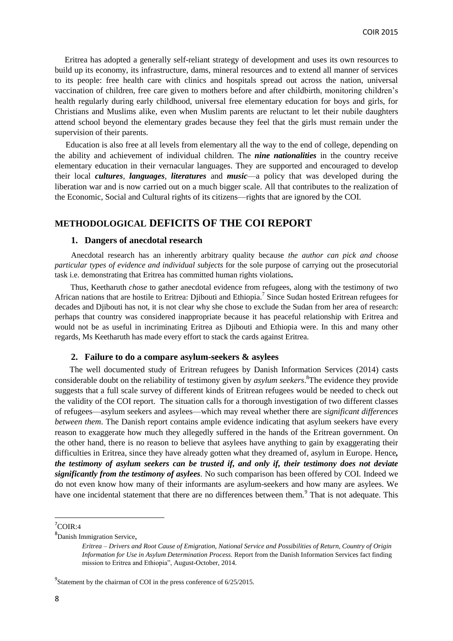Eritrea has adopted a generally self-reliant strategy of development and uses its own resources to build up its economy, its infrastructure, dams, mineral resources and to extend all manner of services to its people: free health care with clinics and hospitals spread out across the nation, universal vaccination of children, free care given to mothers before and after childbirth, monitoring children's health regularly during early childhood, universal free elementary education for boys and girls, for Christians and Muslims alike, even when Muslim parents are reluctant to let their nubile daughters attend school beyond the elementary grades because they feel that the girls must remain under the supervision of their parents.

Education is also free at all levels from elementary all the way to the end of college, depending on the ability and achievement of individual children. The *nine nationalities* in the country receive elementary education in their vernacular languages. They are supported and encouraged to develop their local *cultures*, *languages*, *literatures* and *music*—a policy that was developed during the liberation war and is now carried out on a much bigger scale. All that contributes to the realization of the Economic, Social and Cultural rights of its citizens—rights that are ignored by the COI.

# **METHODOLOGICAL DEFICITS OF THE COI REPORT**

# **1. Dangers of anecdotal research**

Anecdotal research has an inherently arbitrary quality because *the author can pick and choose particular types of evidence and individual subjects* for the sole purpose of carrying out the prosecutorial task i.e. demonstrating that Eritrea has committed human rights violations**.**

Thus, Keetharuth *chose* to gather anecdotal evidence from refugees, along with the testimony of two African nations that are hostile to Eritrea: Djibouti and Ethiopia.<sup>7</sup> Since Sudan hosted Eritrean refugees for decades and Djibouti has not, it is not clear why she chose to exclude the Sudan from her area of research: perhaps that country was considered inappropriate because it has peaceful relationship with Eritrea and would not be as useful in incriminating Eritrea as Djibouti and Ethiopia were. In this and many other regards, Ms Keetharuth has made every effort to stack the cards against Eritrea.

## **2. Failure to do a compare asylum-seekers & asylees**

The well documented study of Eritrean refugees by Danish Information Services (2014) casts considerable doubt on the reliability of testimony given by *asylum seekers*. <sup>8</sup>The evidence they provide suggests that a full scale survey of different kinds of Eritrean refugees would be needed to check out the validity of the COI report. The situation calls for a thorough investigation of two different classes of refugees—asylum seekers and asylees—which may reveal whether there are *significant differences between them*. The Danish report contains ample evidence indicating that asylum seekers have every reason to exaggerate how much they allegedly suffered in the hands of the Eritrean government. On the other hand, there is no reason to believe that asylees have anything to gain by exaggerating their difficulties in Eritrea, since they have already gotten what they dreamed of, asylum in Europe. Hence*, the testimony of asylum seekers can be trusted if, and only if, their testimony does not deviate significantly from the testimony of asylees.* No such comparison has been offered by COI. Indeed we do not even know how many of their informants are asylum-seekers and how many are asylees. We have one incidental statement that there are no differences between them.<sup>9</sup> That is not adequate. This

7 COIR:4

**.** 

<sup>8</sup>Danish Immigration Service,

*Eritrea – Drivers and Root Cause of Emigration, National Service and Possibilities of Return, Country of Origin Information for Use in Asylum Determination Process.* Report from the Danish Information Services fact finding mission to Eritrea and Ethiopia", August-October, 2014.

 $^{9}$ Statement by the chairman of COI in the press conference of 6/25/2015.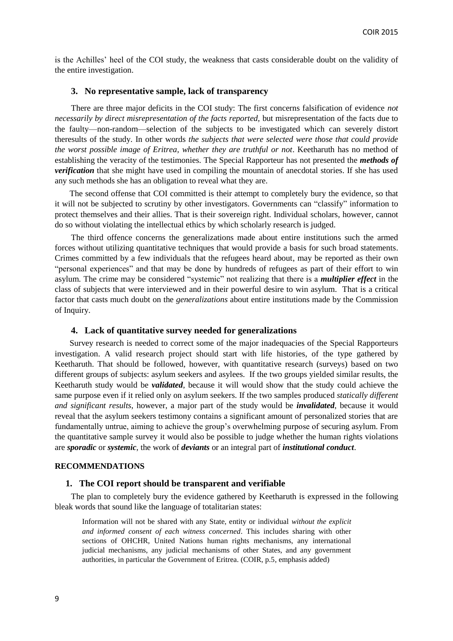is the Achilles' heel of the COI study, the weakness that casts considerable doubt on the validity of the entire investigation.

#### **3. No representative sample, lack of transparency**

There are three major deficits in the COI study: The first concerns falsification of evidence *not necessarily by direct misrepresentation of the facts reported,* but misrepresentation of the facts due to the faulty—non-random—selection of the subjects to be investigated which can severely distort theresults of the study. In other words *the subjects that were selected were those that could provide the worst possible image of Eritrea, whether they are truthful or not*. Keetharuth has no method of establishing the veracity of the testimonies. The Special Rapporteur has not presented the *methods of verification* that she might have used in compiling the mountain of anecdotal stories. If she has used any such methods she has an obligation to reveal what they are.

The second offense that COI committed is their attempt to completely bury the evidence, so that it will not be subjected to scrutiny by other investigators. Governments can "classify" information to protect themselves and their allies. That is their sovereign right. Individual scholars, however, cannot do so without violating the intellectual ethics by which scholarly research is judged.

The third offence concerns the generalizations made about entire institutions such the armed forces without utilizing quantitative techniques that would provide a basis for such broad statements. Crimes committed by a few individuals that the refugees heard about, may be reported as their own "personal experiences" and that may be done by hundreds of refugees as part of their effort to win asylum. The crime may be considered "systemic" not realizing that there is a *multiplier effect* in the class of subjects that were interviewed and in their powerful desire to win asylum. That is a critical factor that casts much doubt on the *generalizations* about entire institutions made by the Commission of Inquiry.

#### **4. Lack of quantitative survey needed for generalizations**

Survey research is needed to correct some of the major inadequacies of the Special Rapporteurs investigation. A valid research project should start with life histories, of the type gathered by Keetharuth. That should be followed, however, with quantitative research (surveys) based on two different groups of subjects: asylum seekers and asylees. If the two groups yielded similar results, the Keetharuth study would be *validated*, because it will would show that the study could achieve the same purpose even if it relied only on asylum seekers. If the two samples produced *statically different and significant results*, however, a major part of the study would be *invalidated*, because it would reveal that the asylum seekers testimony contains a significant amount of personalized stories that are fundamentally untrue, aiming to achieve the group's overwhelming purpose of securing asylum. From the quantitative sample survey it would also be possible to judge whether the human rights violations are *sporadic* or *systemic*, the work of *deviants* or an integral part of *institutional conduct*.

### **RECOMMENDATIONS**

### **1. The COI report should be transparent and verifiable**

The plan to completely bury the evidence gathered by Keetharuth is expressed in the following bleak words that sound like the language of totalitarian states:

Information will not be shared with any State, entity or individual *without the explicit and informed consent of each witness concerned*. This includes sharing with other sections of OHCHR, United Nations human rights mechanisms, any international judicial mechanisms, any judicial mechanisms of other States, and any government authorities, in particular the Government of Eritrea. (COIR, p.5, emphasis added)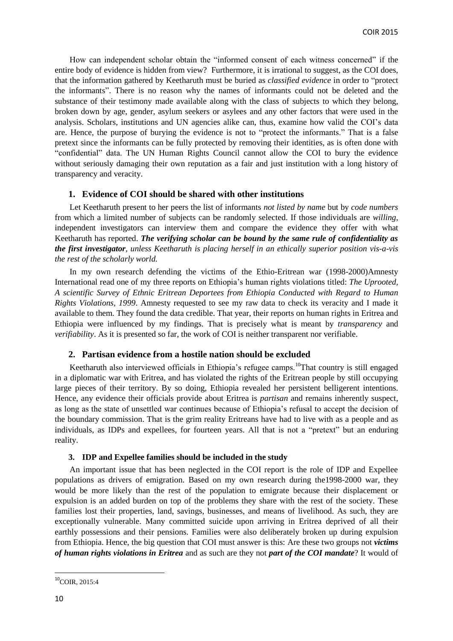How can independent scholar obtain the "informed consent of each witness concerned" if the entire body of evidence is hidden from view? Furthermore, it is irrational to suggest, as the COI does, that the information gathered by Keetharuth must be buried as *classified evidence* in order to "protect" the informants‖. There is no reason why the names of informants could not be deleted and the substance of their testimony made available along with the class of subjects to which they belong, broken down by age, gender, asylum seekers or asylees and any other factors that were used in the analysis. Scholars, institutions and UN agencies alike can, thus, examine how valid the COI's data are. Hence, the purpose of burying the evidence is not to "protect the informants." That is a false pretext since the informants can be fully protected by removing their identities, as is often done with ―confidential‖ data. The UN Human Rights Council cannot allow the COI to bury the evidence without seriously damaging their own reputation as a fair and just institution with a long history of transparency and veracity.

### **1. Evidence of COI should be shared with other institutions**

Let Keetharuth present to her peers the list of informants *not listed by name* but by *code numbers* from which a limited number of subjects can be randomly selected. If those individuals are *willing*, independent investigators can interview them and compare the evidence they offer with what Keetharuth has reported. *The verifying scholar can be bound by the same rule of confidentiality as the first investigator, unless Keetharuth is placing herself in an ethically superior position vis-a-vis the rest of the scholarly world.*

In my own research defending the victims of the Ethio-Eritrean war (1998-2000)Amnesty International read one of my three reports on Ethiopia's human rights violations titled: *The Uprooted, A scientific Survey of Ethnic Eritrean Deportees from Ethiopia Conducted with Regard to Human Rights Violations, 1999*. Amnesty requested to see my raw data to check its veracity and I made it available to them. They found the data credible. That year, their reports on human rights in Eritrea and Ethiopia were influenced by my findings. That is precisely what is meant by *transparency* and *verifiability*. As it is presented so far, the work of COI is neither transparent nor verifiable.

### **2. Partisan evidence from a hostile nation should be excluded**

Keetharuth also interviewed officials in Ethiopia's refugee camps.<sup>10</sup>That country is still engaged in a diplomatic war with Eritrea, and has violated the rights of the Eritrean people by still occupying large pieces of their territory. By so doing, Ethiopia revealed her persistent belligerent intentions. Hence, any evidence their officials provide about Eritrea is *partisan* and remains inherently suspect, as long as the state of unsettled war continues because of Ethiopia's refusal to accept the decision of the boundary commission. That is the grim reality Eritreans have had to live with as a people and as individuals, as IDPs and expellees, for fourteen years. All that is not a "pretext" but an enduring reality.

## **3. IDP and Expellee families should be included in the study**

An important issue that has been neglected in the COI report is the role of IDP and Expellee populations as drivers of emigration. Based on my own research during the1998-2000 war, they would be more likely than the rest of the population to emigrate because their displacement or expulsion is an added burden on top of the problems they share with the rest of the society. These families lost their properties, land, savings, businesses, and means of livelihood. As such, they are exceptionally vulnerable. Many committed suicide upon arriving in Eritrea deprived of all their earthly possessions and their pensions. Families were also deliberately broken up during expulsion from Ethiopia. Hence, the big question that COI must answer is this: Are these two groups not *victims of human rights violations in Eritrea* and as such are they not *part of the COI mandate*? It would of

 $10^{\circ}$ COIR, 2015:4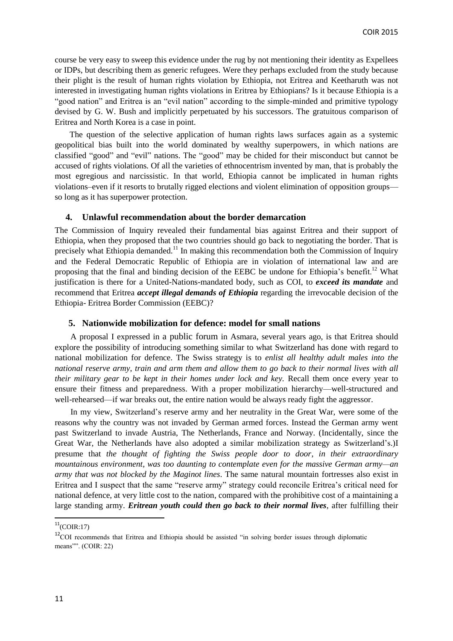course be very easy to sweep this evidence under the rug by not mentioning their identity as Expellees or IDPs, but describing them as generic refugees. Were they perhaps excluded from the study because their plight is the result of human rights violation by Ethiopia, not Eritrea and Keetharuth was not interested in investigating human rights violations in Eritrea by Ethiopians? Is it because Ethiopia is a "good nation" and Eritrea is an "evil nation" according to the simple-minded and primitive typology devised by G. W. Bush and implicitly perpetuated by his successors. The gratuitous comparison of Eritrea and North Korea is a case in point.

The question of the selective application of human rights laws surfaces again as a systemic geopolitical bias built into the world dominated by wealthy superpowers, in which nations are classified "good" and "evil" nations. The "good" may be chided for their misconduct but cannot be accused of rights violations. Of all the varieties of ethnocentrism invented by man, that is probably the most egregious and narcissistic. In that world, Ethiopia cannot be implicated in human rights violations–even if it resorts to brutally rigged elections and violent elimination of opposition groups so long as it has superpower protection.

### **4. Unlawful recommendation about the border demarcation**

The Commission of Inquiry revealed their fundamental bias against Eritrea and their support of Ethiopia, when they proposed that the two countries should go back to negotiating the border. That is precisely what Ethiopia demanded.<sup>11</sup> In making this recommendation both the Commission of Inquiry and the Federal Democratic Republic of Ethiopia are in violation of international law and are proposing that the final and binding decision of the EEBC be undone for Ethiopia's benefit.<sup>12</sup> What justification is there for a United-Nations-mandated body, such as COI, to *exceed its mandate* and recommend that Eritrea *accept illegal demands of Ethiopia* regarding the irrevocable decision of the Ethiopia- Eritrea Border Commission (EEBC)?

### **5. Nationwide mobilization for defence: model for small nations**

A proposal I expressed in a public forum in Asmara, several years ago, is that Eritrea should explore the possibility of introducing something similar to what Switzerland has done with regard to national mobilization for defence. The Swiss strategy is to *enlist all healthy adult males into the national reserve army*, *train and arm them and allow them to go back to their normal lives with all their military gear to be kept in their homes under lock and key.* Recall them once every year to ensure their fitness and preparedness. With a proper mobilization hierarchy—well-structured and well-rehearsed—if war breaks out, the entire nation would be always ready fight the aggressor.

In my view, Switzerland's reserve army and her neutrality in the Great War, were some of the reasons why the country was not invaded by German armed forces. Instead the German army went past Switzerland to invade Austria, The Netherlands, France and Norway. (Incidentally, since the Great War, the Netherlands have also adopted a similar mobilization strategy as Switzerland's.)I presume that *the thought of fighting the Swiss people door to door, in their extraordinary mountainous environment, was too daunting to contemplate even for the massive German army—an army that was not blocked by the Maginot lines*. The same natural mountain fortresses also exist in Eritrea and I suspect that the same "reserve army" strategy could reconcile Eritrea's critical need for national defence, at very little cost to the nation, compared with the prohibitive cost of a maintaining a large standing army. *Eritrean youth could then go back to their normal lives*, after fulfilling their

 $^{11}$ (COIR:17)

<sup>&</sup>lt;sup>12</sup>COI recommends that Eritrea and Ethiopia should be assisted "in solving border issues through diplomatic means<sup>""</sup>. (COIR: 22)